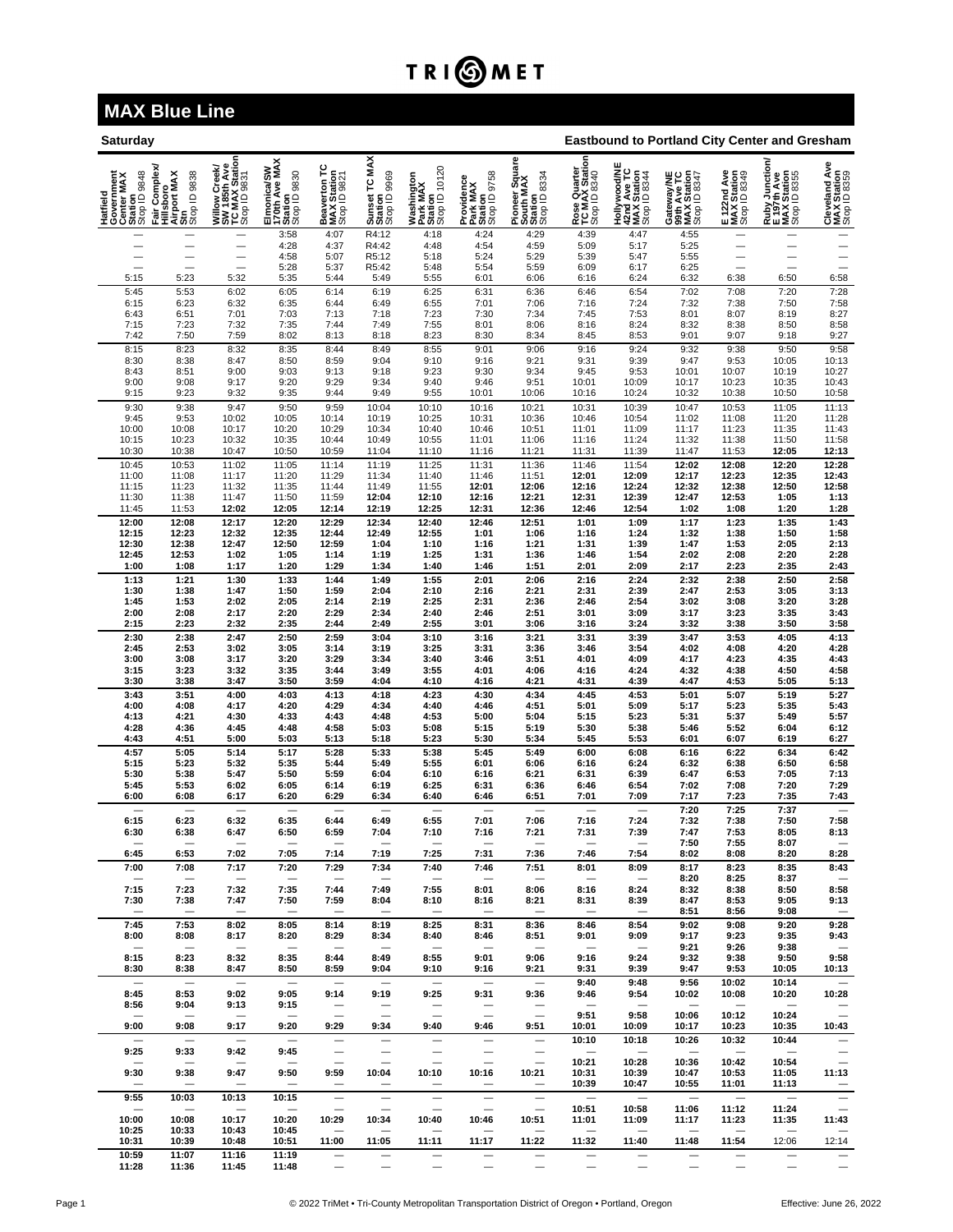## TRI**OMET**

## **MAX Blue Line**

| Saturday                                                        |                                                                          |                                                                 |                                                         |                                             |                                          |                                                    |                                                   |                                                        |                                                | <b>Eastbound to Portland City Center and Gresham</b>       |                                                          |                                            |                                                                     |                                                      |  |  |
|-----------------------------------------------------------------|--------------------------------------------------------------------------|-----------------------------------------------------------------|---------------------------------------------------------|---------------------------------------------|------------------------------------------|----------------------------------------------------|---------------------------------------------------|--------------------------------------------------------|------------------------------------------------|------------------------------------------------------------|----------------------------------------------------------|--------------------------------------------|---------------------------------------------------------------------|------------------------------------------------------|--|--|
| Hatfield<br>Government<br>Center MAX<br>Station<br>Stop ID 9848 | Complex<br>Hillsboro<br>Airport MAX<br>Stop ID 9838<br>Stop ID 9838<br>Ì | Willow Creek/<br>SW 185th Ave<br>TC MAX Station<br>Stop ID 9831 | Elmonica/SW<br>170th Ave MAX<br>Station<br>Stop ID 9830 | Beaverton TC<br>MAX Station<br>Stop ID 9821 | Sunset TC MAX<br>Station<br>Stop ID 9969 | Washington<br>Park MAX<br>Station<br>Stop ID 10120 | Providence<br>Park MAX<br>Station<br>Stop ID 9758 | Pioneer Square<br>South MAX<br>Station<br>Stop ID 8334 | Rose Quarter<br>TC MAX Station<br>Stop ID 8340 | Hollywood/NE<br>42nd Ave TC<br>MAX Station<br>Stop ID 8344 | Gateway/NE<br>99th Ave TC<br>MAX Station<br>Stop ID 8347 | E 122nd Ave<br>MAX Station<br>Stop ID 8349 | <b>Ruby Junction/</b><br>E 197th Ave<br>MAX Station<br>Stop ID 8355 | Åve<br>Cleveland Av<br>MAX Station<br>Stop ID 8359   |  |  |
|                                                                 |                                                                          | $\overline{\phantom{0}}$                                        | 3:58<br>4:28                                            | 4:07<br>4:37                                | R4:12<br>R4:42                           | 4:18<br>4:48                                       | 4:24<br>4:54                                      | 4:29<br>4:59                                           | 4:39<br>5:09                                   | 4:47<br>5:17                                               | 4:55<br>5:25                                             | -                                          |                                                                     | $\overline{\phantom{0}}$<br>$\overline{\phantom{0}}$ |  |  |
|                                                                 |                                                                          | $\overline{\phantom{0}}$                                        | 4:58<br>5:28                                            | 5:07<br>5:37                                | R5:12<br>R5:42                           | 5:18<br>5:48                                       | 5:24<br>5:54                                      | 5:29<br>5:59                                           | 5:39<br>6:09                                   | 5:47<br>6:17                                               | 5:55<br>6:25                                             |                                            |                                                                     | —<br>$\overline{\phantom{0}}$                        |  |  |
| 5:15                                                            | 5:23                                                                     | 5:32                                                            | 5:35                                                    | 5:44                                        | 5:49                                     | 5:55                                               | 6:01                                              | 6:06                                                   | 6:16                                           | 6:24                                                       | 6:32                                                     | 6:38                                       | 6:50                                                                | 6:58                                                 |  |  |
| 5:45<br>6:15                                                    | 5:53<br>6:23                                                             | 6:02<br>6:32                                                    | 6:05<br>6:35                                            | 6:14<br>6:44                                | 6:19<br>6:49                             | 6:25<br>6:55                                       | 6:31<br>7:01                                      | 6:36<br>7:06                                           | 6:46<br>7:16                                   | 6:54<br>7:24                                               | 7:02<br>7:32                                             | 7:08<br>7:38                               | 7:20<br>7:50                                                        | 7:28<br>7:58<br>8:27                                 |  |  |
| 6:43                                                            | 6:51                                                                     | 7:01                                                            | 7:03                                                    | 7:13                                        | 7:18                                     | 7:23                                               | 7:30                                              | 7:34                                                   | 7:45                                           | 7:53                                                       | 8:01                                                     | 8:07                                       | 8:19                                                                |                                                      |  |  |
| 7:15<br>7:42                                                    | 7:23<br>7:50                                                             | 7:32<br>7:59                                                    | 7:35<br>8:02                                            | 7:44<br>8:13                                | 7:49<br>8:18                             | 7:55<br>8:23                                       | 8:01<br>8:30                                      | 8:06<br>8:34                                           | 8:16<br>8:45                                   | 8:24<br>8:53                                               | 8:32<br>9:01                                             | 8:38<br>9:07                               | 8:50<br>9:18                                                        | 8:58<br>9:27                                         |  |  |
| 8:15<br>8:30                                                    | 8:23<br>8:38                                                             | 8:32<br>8:47                                                    | 8:35<br>8:50                                            | 8:44<br>8:59                                | 8:49<br>9:04                             | 8:55<br>9:10                                       | 9:01<br>9:16                                      | 9:06<br>9:21                                           | 9:16<br>9:31                                   | 9:24<br>9:39                                               | 9:32<br>9:47                                             | 9:38<br>9:53                               | 9:50<br>10:05                                                       | 9:58<br>10:13                                        |  |  |
| 8:43                                                            | 8:51                                                                     | 9:00                                                            | 9:03                                                    | 9:13                                        | 9:18                                     | 9:23                                               | 9:30                                              | 9:34                                                   | 9:45                                           | 9:53                                                       | 10:01                                                    | 10:07                                      | 10:19                                                               | 10:27<br>10:43                                       |  |  |
| 9:00<br>9:15                                                    | 9:08<br>9:23                                                             | 9:17<br>9:32                                                    | 9:20<br>9:35                                            | 9:29<br>9:44                                | 9:34<br>9:49                             | 9:40<br>9:55                                       | 9:46<br>10:01                                     | 9:51<br>10:06                                          | 10:01<br>10:16                                 | 10:09<br>10:24                                             | 10:17<br>10:32                                           | 10:23<br>10:38                             | 10:35<br>10:50                                                      | 10:58                                                |  |  |
| 9:30                                                            | 9:38                                                                     | 9:47                                                            | 9:50                                                    | 9:59                                        | 10:04                                    | 10:10                                              | 10:16                                             | 10:21                                                  | 10:31                                          | 10:39                                                      | 10:47                                                    | 10:53                                      | 11:05                                                               | 11:13                                                |  |  |
| $9:45$<br>10:00                                                 | 9:53<br>10:08                                                            | 10:02<br>10:17                                                  | 10:05<br>10:20                                          | 10:14<br>10:29                              | 10:19<br>10:34                           | 10:25<br>10:40                                     | 10:31<br>10:46                                    | 10:36<br>10:51                                         | 10:46<br>11:01                                 | 10:54<br>11:09                                             | 11:02<br>11:17                                           | 11:08<br>11:23                             | 11:20<br>11:35                                                      | 11:28<br>11:43                                       |  |  |
| 10:15<br>10:30                                                  | 10:23<br>10:38                                                           | 10:32<br>10:47                                                  | 10:35<br>10:50                                          | 10:44<br>10:59                              | 10:49<br>11:04                           | 10:55<br>11:10                                     | 11:01<br>11:16                                    | 11:06<br>11:21                                         | 11:16<br>11:31                                 | 11:24<br>11:39                                             | 11:32<br>11:47                                           | 11:38<br>11:53                             | 11:50<br>12:05                                                      | 11:58<br>12:13                                       |  |  |
| 10:45                                                           | 10:53                                                                    | 11:02                                                           | 11:05                                                   | 11:14                                       | 11:19                                    | 11:25                                              | 11:31                                             | 11:36                                                  | 11:46                                          | 11:54                                                      | 12:02                                                    | 12:08                                      | 12:20                                                               | 12:28                                                |  |  |
| 11:00<br>11:15                                                  | 11:08<br>11:23                                                           | 11:17<br>11:32                                                  | 11:20<br>11:35                                          | 11:29<br>11:44                              | 11:34<br>11:49                           | 11:40<br>11:55                                     | 11:46<br>12:01                                    | 11:51<br>12:06                                         | 12:01<br>12:16                                 | 12:09<br>12:24                                             | 12:17<br>12:32                                           | 12:23<br>12:38                             | 12:35<br>12:50                                                      | 12:43<br>12:58                                       |  |  |
| 11:30                                                           | 11:38                                                                    | 11:47                                                           | 11:50                                                   | 11:59                                       | 12:04                                    | 12:10                                              | 12:16                                             | 12:21                                                  | 12:31                                          | 12:39                                                      | 12:47                                                    | 12:53                                      | 1:05                                                                | 1:13<br>1:28                                         |  |  |
| 11:45<br>12:00                                                  | 11:53<br>12:08                                                           | 12:02<br>12:17                                                  | 12:05<br>12:20                                          | 12:14<br>12:29                              | 12:19<br>12:34                           | 12:25<br>12:40                                     | 12:31<br>12:46                                    | 12:36<br>12:51                                         | 12:46<br>1:01                                  | 12:54<br>1:09                                              | 1:02<br>1:17                                             | 1:08<br>1:23                               | 1:20<br>1:35                                                        | 1:43                                                 |  |  |
| 12:15                                                           | 12:23                                                                    | 12:32                                                           | 12:35                                                   | 12:44                                       | 12:49                                    | 12:55                                              | 1:01                                              | 1:06                                                   | 1:16                                           | 1:24                                                       | 1:32                                                     | 1:38                                       | 1:50                                                                | 1:58                                                 |  |  |
| 12:30<br>12:45                                                  | 12:38<br>12:53                                                           | 12:47<br>1:02                                                   | 12:50<br>1:05                                           | 12:59<br>1:14                               | 1:04<br>1:19                             | 1:10<br>1:25                                       | 1:16<br>1:31                                      | 1:21<br>1:36                                           | 1:31<br>1:46                                   | 1:39<br>1:54                                               | 1:47<br>2:02                                             | 1:53<br>2:08                               | 2:05<br>2:20                                                        | 2:13<br>2:28                                         |  |  |
| 1:00<br>1:13                                                    | 1:08                                                                     | 1:17                                                            | 1:20                                                    | 1:29<br>1:44                                | 1:34<br>1:49                             | 1:40<br>1:55                                       | 1:46                                              | 1:51                                                   | 2:01<br>2:16                                   | 2:09<br>2:24                                               | 2:17<br>2:32                                             | 2:23                                       | 2:35<br>2:50                                                        | 2:43<br>2:58                                         |  |  |
| 1:30                                                            | 1:21<br>1:38                                                             | 1:30<br>1:47                                                    | 1:33<br>1:50                                            | 1:59                                        | 2:04                                     | 2:10                                               | 2:01<br>2:16                                      | 2:06<br>2:21                                           | 2:31                                           | 2:39                                                       | 2:47                                                     | 2:38<br>2:53                               | 3:05                                                                |                                                      |  |  |
| 1:45<br>2:00                                                    | 1:53<br>2:08                                                             | 2:02<br>2:17                                                    | 2:05<br>2:20                                            | 2:14<br>2:29                                | 2:19<br>2:34                             | 2:25<br>2:40                                       | 2:31<br>2:46                                      | 2:36<br>2:51                                           | 2:46<br>3:01                                   | 2:54<br>3:09                                               | 3:02<br>3:17                                             | 3:08<br>3:23                               | 3:20<br>3:35                                                        | 3:13<br>3:28<br>3:43                                 |  |  |
| 2:15                                                            | 2:23                                                                     | 2:32                                                            | 2:35                                                    | 2:44                                        | 2:49                                     | 2:55                                               | 3:01                                              | 3:06                                                   | 3:16                                           | 3:24                                                       | 3:32                                                     | 3:38                                       | 3:50                                                                | 3:58                                                 |  |  |
| 2:30<br>2:45                                                    | 2:38<br>2:53                                                             | 2:47<br>3:02                                                    | 2:50<br>3:05                                            | 2:59<br>3:14                                | 3:04<br>3:19                             | 3:10<br>3:25                                       | 3:16<br>3:31                                      | 3:21<br>3:36                                           | 3:31<br>3:46                                   | 3:39<br>3:54                                               | 3:47<br>4:02                                             | 3:53<br>4:08                               | 4:05<br>4:20                                                        | 4:13<br>4:28                                         |  |  |
| 3:00<br>3:15                                                    | 3:08<br>3:23                                                             | 3:17<br>3:32                                                    | 3:20<br>3:35                                            | 3:29<br>3:44                                | 3:34<br>3:49                             | 3:40<br>3:55                                       | 3:46<br>4:01                                      | 3:51<br>4:06                                           | 4:01<br>4:16                                   | 4:09<br>4:24                                               | 4:17<br>4:32                                             | 4:23<br>4:38                               | 4:35<br>4:50                                                        | 4:43                                                 |  |  |
| 3:30                                                            | 3:38                                                                     | 3:47                                                            | 3:50                                                    | 3:59                                        | 4:04                                     | 4:10                                               | 4:16                                              | 4:21                                                   | 4:31                                           | 4:39                                                       | 4:47                                                     | 4:53                                       | 5:05                                                                | 4:58<br>5:13                                         |  |  |
| 3:43<br>4:00                                                    | 3:51<br>4:08                                                             | 4:00<br>4:17                                                    | 4:03<br>4:20                                            | 4:13<br>4:29                                | 4:18<br>4:34                             | 4:23<br>4:40                                       | 4:30<br>4:46                                      | 4:34<br>4:51                                           | 4:45<br>5:01                                   | 4:53<br>5:09                                               | 5:01<br>5:17                                             | 5:07<br>5:23                               | 5:19<br>5:35                                                        | 5:27<br>5:43                                         |  |  |
| 4:13                                                            | 4:21                                                                     | 4:30                                                            | 4:33                                                    | 4:43                                        | 4:48                                     | 4:53                                               | 5:00                                              | 5:04                                                   | 5:15                                           | 5:23                                                       | 5:31                                                     | 5:37                                       | 5:49                                                                | 5:57<br>6:12                                         |  |  |
| 4:28<br>4:43                                                    | 4:36<br>4:51                                                             | 4:45<br>5:00                                                    | 4:48<br>5:03                                            | 4:58<br>5:13                                | 5:03<br>5:18                             | 5:08<br>5:23                                       | 5:15<br>5:30                                      | 5:19<br>5:34                                           | 5:30<br>5:45                                   | 5:38<br>5:53                                               | 5:46<br>6:01                                             | 5:52<br>6:07                               | 6:04<br>6:19                                                        | 6:27                                                 |  |  |
| 4:57                                                            | 5:05                                                                     | 5:14                                                            | 5:17                                                    | 5:28                                        | 5:33                                     | 5:38                                               | 5:45                                              | 5:49                                                   | 6:00                                           | 6:08                                                       | 6:16                                                     | 6:22                                       | 6:34                                                                | 6:42                                                 |  |  |
| 5:15<br>5:30                                                    | 5:23<br>5:38                                                             | 5:32<br>5:47                                                    | 5:35<br>5:50                                            | 5:44<br>5:59                                | 5:49<br>6:04                             | 5:55<br>6:10                                       | 6:01<br>6:16                                      | 6:06<br>6:21                                           | 6:16<br>6:31                                   | 6:24<br>6:39                                               | 6:32<br>6:47                                             | 6:38<br>6:53                               | 6:50<br>7:05                                                        | 6:58<br>7:13                                         |  |  |
| 5:45<br>6:00                                                    | 5:53<br>6:08                                                             | 6:02<br>6:17                                                    | 6:05<br>6:20                                            | 6:14<br>6:29                                | 6:19<br>6:34                             | 6:25<br>6:40                                       | 6:31<br>6:46                                      | 6:36<br>6:51                                           | 6:46<br>7:01                                   | 6:54<br>7:09                                               | 7:02<br>7:17                                             | 7:08<br>7:23                               | 7:20<br>7:35                                                        | 7:29<br>7:43                                         |  |  |
|                                                                 |                                                                          |                                                                 |                                                         |                                             |                                          |                                                    |                                                   |                                                        |                                                |                                                            | 7:20                                                     | 7:25                                       | 7:37                                                                |                                                      |  |  |
| 6:15<br>6:30                                                    | 6:23<br>6:38                                                             | 6:32<br>6:47                                                    | 6:35<br>6:50                                            | 6:44<br>6:59                                | 6:49<br>7:04                             | 6:55<br>7:10                                       | 7:01<br>7:16                                      | 7:06<br>7:21                                           | 7:16<br>7:31                                   | 7:24<br>7:39                                               | 7:32<br>7:47                                             | 7:38<br>7:53                               | 7:50<br>8:05                                                        | 7:58<br>8:13                                         |  |  |
| 6:45                                                            | 6:53                                                                     | 7:02                                                            | 7:05                                                    | 7:14                                        | 7:19                                     | 7:25                                               | 7:31                                              | 7:36                                                   | 7:46                                           | 7:54                                                       | 7:50<br>8:02                                             | 7:55<br>8:08                               | 8:07<br>8:20                                                        | 8:28                                                 |  |  |
| 7:00                                                            | 7:08                                                                     | 7:17                                                            | 7:20                                                    | 7:29                                        | 7:34                                     | 7:40                                               | 7:46                                              | 7:51                                                   | 8:01                                           | 8:09                                                       | 8:17                                                     | 8:23                                       | 8:35                                                                | 8:43                                                 |  |  |
| $\qquad \qquad -$<br>7:15                                       | $\overline{\phantom{m}}$<br>7:23                                         | $\overline{\phantom{m}}$<br>7:32                                | $\overline{\phantom{m}}$<br>7:35                        | $\overline{\phantom{m}}$<br>7:44            | 7:49                                     | 7:55                                               | 8:01                                              | 8:06                                                   | $\overline{\phantom{a}}$<br>8:16               | 8:24                                                       | 8:20<br>8:32                                             | 8:25<br>8:38                               | 8:37<br>8:50                                                        | $\overline{\phantom{m}}$<br>8:58                     |  |  |
| 7:30                                                            | 7:38                                                                     | 7:47                                                            | 7:50                                                    | 7:59                                        | 8:04                                     | 8:10                                               | 8:16                                              | 8:21                                                   | 8:31                                           | 8:39                                                       | 8:47                                                     | 8:53                                       | 9:05                                                                | 9:13                                                 |  |  |
| $\overline{\phantom{m}}$<br>7:45                                | $\overline{\phantom{0}}$<br>7:53                                         | $\overline{\phantom{m}}$<br>8:02                                | 8:05                                                    | 8:14                                        | $\qquad \qquad$<br>8:19                  | $\overline{\phantom{m}}$<br>8:25                   | $\qquad \qquad \longleftarrow$<br>8:31            | 8:36                                                   | $\overline{\phantom{0}}$<br>8:46               | $\qquad \qquad - \qquad$<br>8:54                           | 8:51<br>9:02                                             | 8:56<br>9:08                               | 9:08<br>9:20                                                        | $\overline{\phantom{m}}$<br>9:28                     |  |  |
| 8:00                                                            | 8:08                                                                     | 8:17                                                            | 8:20                                                    | 8:29                                        | 8:34                                     | 8:40                                               | 8:46                                              | 8:51                                                   | 9:01                                           | 9:09                                                       | 9:17                                                     | 9:23                                       | 9:35                                                                | 9:43                                                 |  |  |
| 8:15                                                            | 8:23                                                                     | 8:32                                                            | $\sim$<br>8:35                                          | 8:44                                        | 8:49                                     | 8:55                                               | 9:01                                              | 9:06                                                   | 9:16                                           | 9:24                                                       | 9:21<br>9:32                                             | 9:26<br>9:38                               | 9:38<br>9:50                                                        | $\overline{\phantom{a}}$<br>9:58                     |  |  |
| 8:30                                                            | 8:38                                                                     | 8:47                                                            | 8:50                                                    | 8:59                                        | 9:04                                     | 9:10                                               | 9:16                                              | 9:21                                                   | 9:31                                           | 9:39                                                       | 9:47                                                     | 9:53                                       | 10:05                                                               | 10:13                                                |  |  |
| $\overline{\phantom{0}}$<br>8:45<br>8:56                        | 8:53<br>9:04                                                             | 9:02<br>9:13                                                    | 9:05<br>9:15                                            | 9:14                                        | 9:19<br>—                                | $\overline{\phantom{a}}$<br>9:25<br>$\equiv$       | 9:31                                              | 9:36                                                   | 9:40<br>9:46                                   | 9:48<br>9:54                                               | 9:56<br>10:02                                            | 10:02<br>10:08<br>$\overline{\phantom{a}}$ | 10:14<br>10:20                                                      | 10:28                                                |  |  |
| $\overbrace{\phantom{12322111}}$<br>9:00                        | 9:08                                                                     | 9:17                                                            | 9:20                                                    | 9:29                                        | 9:34                                     | $\overline{\phantom{m}}$<br>9:40                   | 9:46                                              | 9:51                                                   | 9:51<br>10:01                                  | 9:58<br>10:09                                              | 10:06<br>10:17                                           | 10:12<br>10:23                             | 10:24<br>10:35                                                      | 10:43                                                |  |  |
| 9:25                                                            | 9:33                                                                     | 9:42                                                            | 9:45                                                    | $\overline{\phantom{0}}$                    |                                          | —                                                  | —                                                 |                                                        | 10:10<br>$\overbrace{\phantom{12322111}}$      | 10:18<br>$\overbrace{\phantom{12322111}}$                  | 10:26<br>$\qquad \qquad -$                               | 10:32                                      | 10:44                                                               | $\overline{\phantom{0}}$                             |  |  |
| 9:30                                                            | 9:38                                                                     | 9:47                                                            | 9:50                                                    | 9:59                                        | 10:04                                    | 10:10                                              | 10:16                                             | 10:21                                                  | 10:21<br>10:31                                 | 10:28<br>10:39                                             | 10:36<br>10:47                                           | 10:42<br>10:53                             | 10:54<br>11:05                                                      | 11:13                                                |  |  |
| 9:55                                                            | 10:03                                                                    | $\overline{\phantom{m}}$<br>10:13                               | $\overline{\phantom{a}}$<br>10:15                       | $\overline{\phantom{0}}$                    | Ξ                                        | $\overline{\phantom{0}}$<br>$\qquad \qquad -$      | $\qquad \qquad -$                                 | $\qquad \qquad -$                                      | 10:39                                          | 10:47<br>$\overline{\phantom{m}}$                          | 10:55<br>$\overline{\phantom{0}}$                        | 11:01<br>$\sim$                            | 11:13<br>$\overline{\phantom{m}}$                                   | $\overline{\phantom{0}}$<br>$\equiv$                 |  |  |
| $\overline{\phantom{m}}$<br>10:00                               | 10:08                                                                    | 10:17                                                           | $\overline{\phantom{a}}$<br>10:20                       | 10:29                                       | $\overline{\phantom{0}}$<br>10:34        | $\overline{\phantom{0}}$<br>10:40                  | $\overline{\phantom{0}}$<br>10:46                 | 10:51                                                  | 10:51<br>11:01                                 | 10:58<br>11:09                                             | 11:06<br>11:17                                           | 11:12<br>11:23                             | 11:24<br>11:35                                                      | 11:43                                                |  |  |
| 10:25<br>10:31                                                  | 10:33<br>10:39                                                           | 10:43<br>10:48                                                  | 10:45<br>10:51                                          | $\overline{\phantom{0}}$<br>11:00           | 11:05                                    | $\overline{\phantom{0}}$<br>11:11                  | 11:17                                             | 11:22                                                  | 11:32                                          | $\overline{\phantom{a}}$<br>11:40                          | $\overline{\phantom{a}}$<br>11:48                        | 11:54                                      | $\qquad \qquad \longleftarrow$<br>12:06                             | $\qquad \qquad$<br>12:14                             |  |  |
| 10:59                                                           | 11:07                                                                    | 11:16                                                           | 11:19                                                   |                                             |                                          | $\overline{\phantom{m}}$                           | $\equiv$                                          | $\overline{\phantom{0}}$                               |                                                |                                                            | $\equiv$                                                 | ÷,                                         | $\frac{1}{2}$                                                       |                                                      |  |  |

**11:28 11:36 11:45 11:48** — — — — — — — — — — —